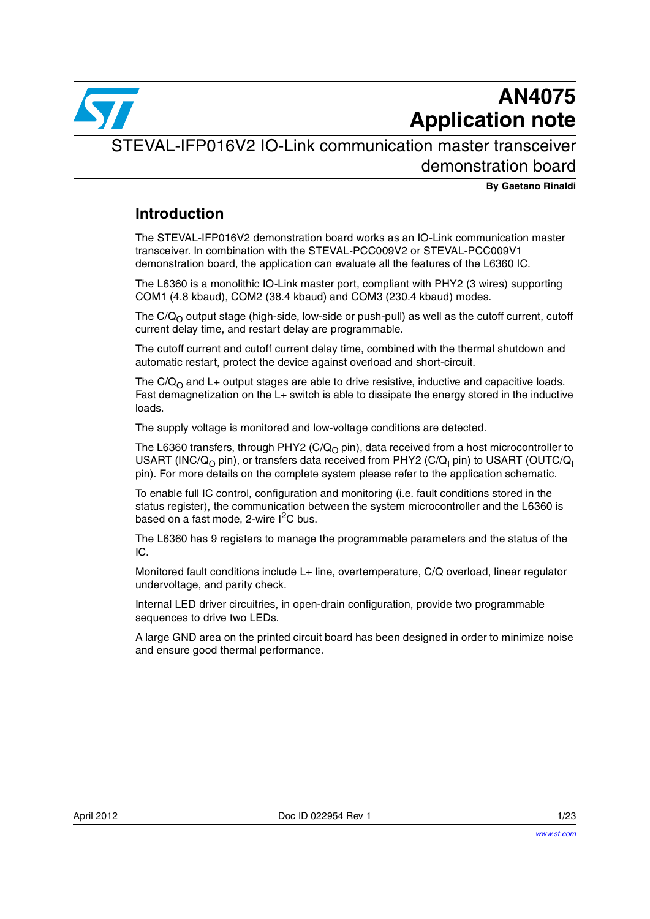

# **AN4075 Application note**

STEVAL-IFP016V2 IO-Link communication master transceiver demonstration board

**By Gaetano Rinaldi**

### **Introduction**

The STEVAL-IFP016V2 demonstration board works as an IO-Link communication master transceiver. In combination with the STEVAL-PCC009V2 or STEVAL-PCC009V1 demonstration board, the application can evaluate all the features of the L6360 IC.

The L6360 is a monolithic IO-Link master port, compliant with PHY2 (3 wires) supporting COM1 (4.8 kbaud), COM2 (38.4 kbaud) and COM3 (230.4 kbaud) modes.

The  $C/Q<sub>O</sub>$  output stage (high-side, low-side or push-pull) as well as the cutoff current, cutoff current delay time, and restart delay are programmable.

The cutoff current and cutoff current delay time, combined with the thermal shutdown and automatic restart, protect the device against overload and short-circuit.

The  $C/Q<sub>O</sub>$  and L+ output stages are able to drive resistive, inductive and capacitive loads. Fast demagnetization on the L+ switch is able to dissipate the energy stored in the inductive loads.

The supply voltage is monitored and low-voltage conditions are detected.

The L6360 transfers, through PHY2 (C/Q<sub>O</sub> pin), data received from a host microcontroller to USART (INC/Q<sub>O</sub> pin), or transfers data received from PHY2 (C/Q<sub>I</sub> pin) to USART (OUTC/Q<sub>I</sub> pin). For more details on the complete system please refer to the application schematic.

To enable full IC control, configuration and monitoring (i.e. fault conditions stored in the status register), the communication between the system microcontroller and the L6360 is based on a fast mode, 2-wire  $I^2C$  bus.

The L6360 has 9 registers to manage the programmable parameters and the status of the IC.

Monitored fault conditions include L+ line, overtemperature, C/Q overload, linear regulator undervoltage, and parity check.

Internal LED driver circuitries, in open-drain configuration, provide two programmable sequences to drive two LEDs.

A large GND area on the printed circuit board has been designed in order to minimize noise and ensure good thermal performance.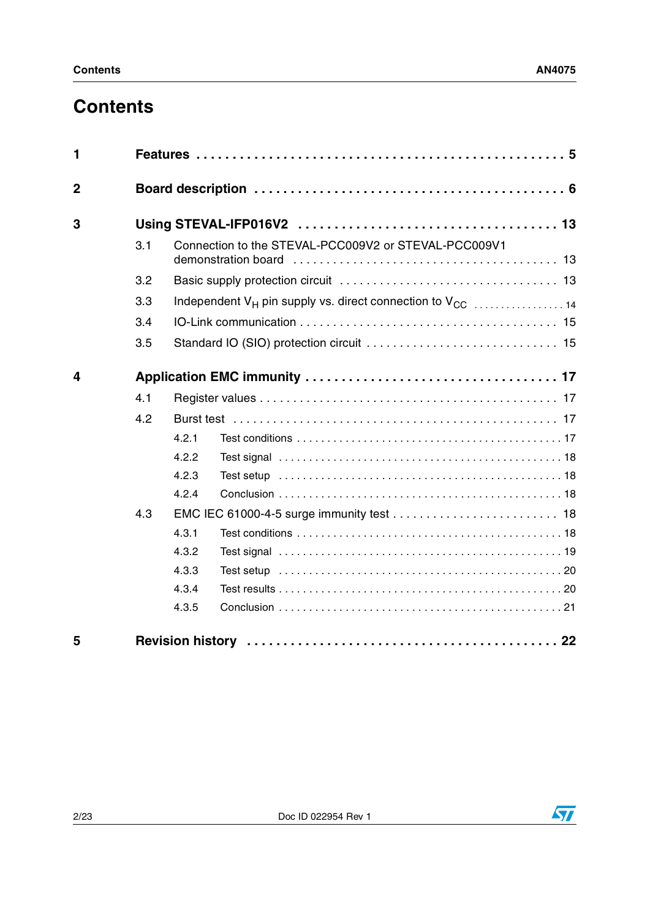# **Contents**

| 1              |     |       |                                                                                   |  |  |  |
|----------------|-----|-------|-----------------------------------------------------------------------------------|--|--|--|
| $\overline{2}$ |     |       |                                                                                   |  |  |  |
| 3              |     |       |                                                                                   |  |  |  |
|                | 3.1 |       | Connection to the STEVAL-PCC009V2 or STEVAL-PCC009V1<br>demonstration board       |  |  |  |
|                | 3.2 |       |                                                                                   |  |  |  |
|                | 3.3 |       | Independent V <sub>H</sub> pin supply vs. direct connection to V <sub>CC</sub> 14 |  |  |  |
|                | 3.4 |       |                                                                                   |  |  |  |
|                | 3.5 |       |                                                                                   |  |  |  |
| 4              |     |       |                                                                                   |  |  |  |
|                | 4.1 |       |                                                                                   |  |  |  |
|                | 4.2 |       |                                                                                   |  |  |  |
|                |     | 4.2.1 |                                                                                   |  |  |  |
|                |     | 4.2.2 |                                                                                   |  |  |  |
|                |     | 4.2.3 |                                                                                   |  |  |  |
|                |     | 4.2.4 |                                                                                   |  |  |  |
|                | 4.3 |       |                                                                                   |  |  |  |
|                |     | 4.3.1 |                                                                                   |  |  |  |
|                |     | 4.3.2 |                                                                                   |  |  |  |
|                |     | 4.3.3 |                                                                                   |  |  |  |
|                |     | 4.3.4 |                                                                                   |  |  |  |
|                |     | 4.3.5 |                                                                                   |  |  |  |
| 5              |     |       |                                                                                   |  |  |  |

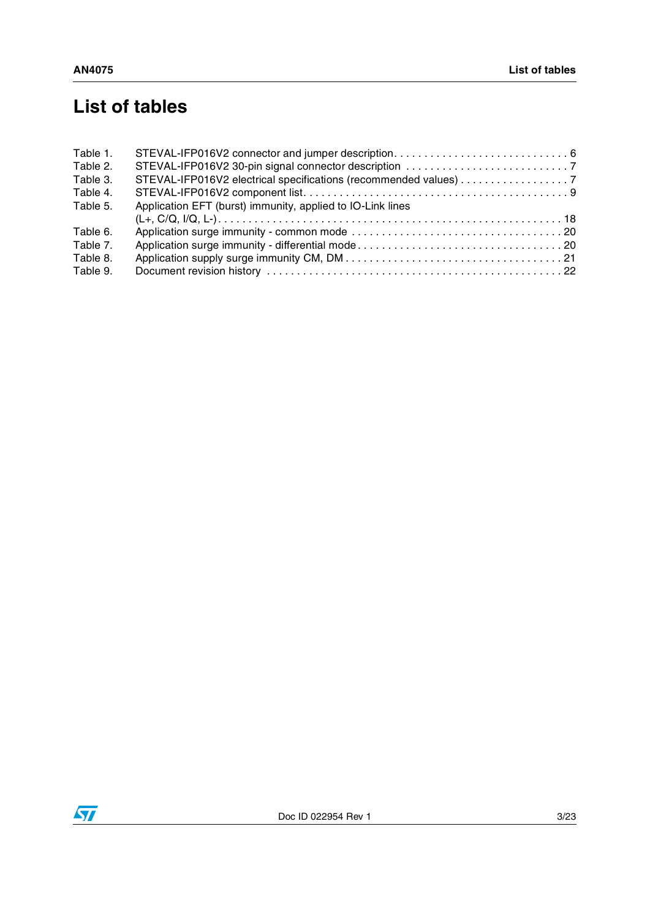# **List of tables**

| Table 1. |                                                                  |
|----------|------------------------------------------------------------------|
| Table 2. |                                                                  |
| Table 3. | STEVAL-IFP016V2 electrical specifications (recommended values) 7 |
| Table 4. |                                                                  |
| Table 5. | Application EFT (burst) immunity, applied to IO-Link lines       |
|          |                                                                  |
| Table 6. |                                                                  |
| Table 7. |                                                                  |
| Table 8. |                                                                  |
| Table 9. |                                                                  |

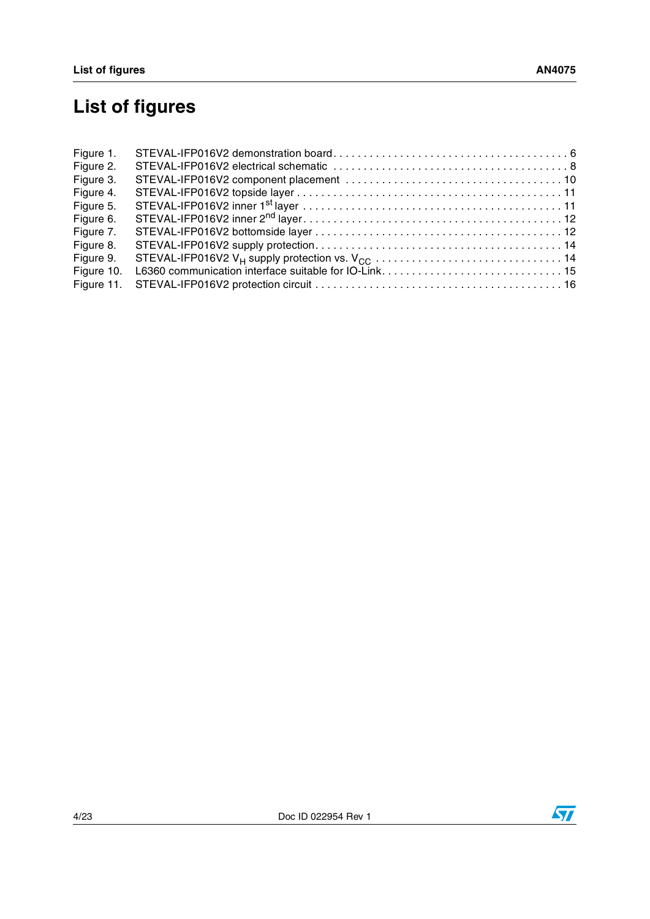# **List of figures**

| Figure 1.  |  |
|------------|--|
| Figure 2.  |  |
| Figure 3.  |  |
| Figure 4.  |  |
| Figure 5.  |  |
| Figure 6.  |  |
| Figure 7.  |  |
| Figure 8.  |  |
| Figure 9.  |  |
| Figure 10. |  |
| Figure 11. |  |



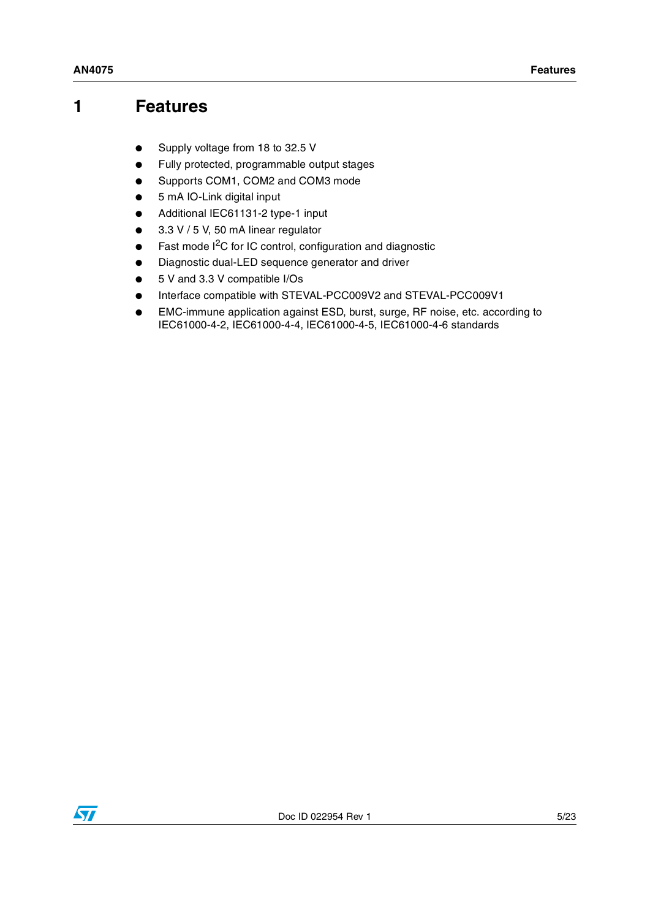## <span id="page-4-0"></span>**1 Features**

- Supply voltage from 18 to 32.5 V
- Fully protected, programmable output stages
- Supports COM1, COM2 and COM3 mode
- 5 mA IO-Link digital input
- Additional IEC61131-2 type-1 input
- 3.3 V / 5 V, 50 mA linear regulator
- Fast mode  $I<sup>2</sup>C$  for IC control, configuration and diagnostic
- Diagnostic dual-LED sequence generator and driver
- 5 V and 3.3 V compatible I/Os
- Interface compatible with STEVAL-PCC009V2 and STEVAL-PCC009V1
- EMC-immune application against ESD, burst, surge, RF noise, etc. according to IEC61000-4-2, IEC61000-4-4, IEC61000-4-5, IEC61000-4-6 standards

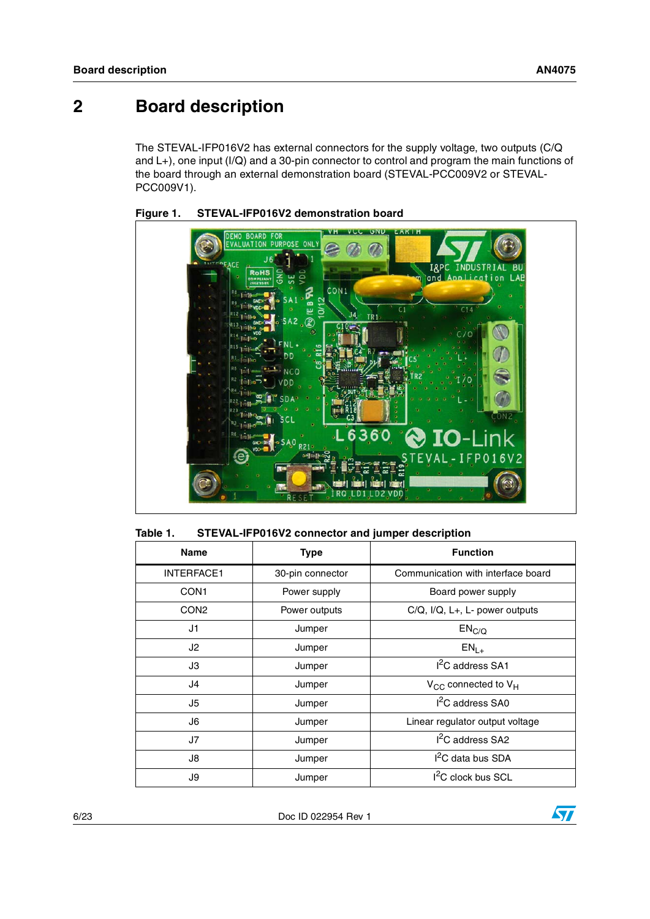## <span id="page-5-0"></span>**2 Board description**

The STEVAL-IFP016V2 has external connectors for the supply voltage, two outputs (C/Q and L+), one input (I/Q) and a 30-pin connector to control and program the main functions of the board through an external demonstration board (STEVAL-PCC009V2 or STEVAL-PCC009V1).



<span id="page-5-2"></span>

<span id="page-5-1"></span>

| Table 1. | STEVAL-IFP016V2 connector and jumper description |
|----------|--------------------------------------------------|
|----------|--------------------------------------------------|

| <b>Name</b>       | <b>Type</b>      | <b>Function</b>                         |  |
|-------------------|------------------|-----------------------------------------|--|
| <b>INTERFACE1</b> | 30-pin connector | Communication with interface board      |  |
| CON <sub>1</sub>  | Power supply     | Board power supply                      |  |
| CON <sub>2</sub>  | Power outputs    | $C/Q$ , $I/Q$ , $L+, L$ - power outputs |  |
| J1                | Jumper           | EN <sub>C/Q</sub>                       |  |
| J2                | Jumper           | $EN_{L+}$                               |  |
| JЗ                | Jumper           | I <sup>2</sup> C address SA1            |  |
| J4                | Jumper           | $V_{CC}$ connected to $V_H$             |  |
| J5                | Jumper           | $I2C$ address SA0                       |  |
| J6                | Jumper           | Linear regulator output voltage         |  |
| J7                | Jumper           | $I2C$ address SA2                       |  |
| J8                | Jumper           | I <sup>2</sup> C data bus SDA           |  |
| J9<br>Jumper      |                  | I <sup>2</sup> C clock bus SCL          |  |

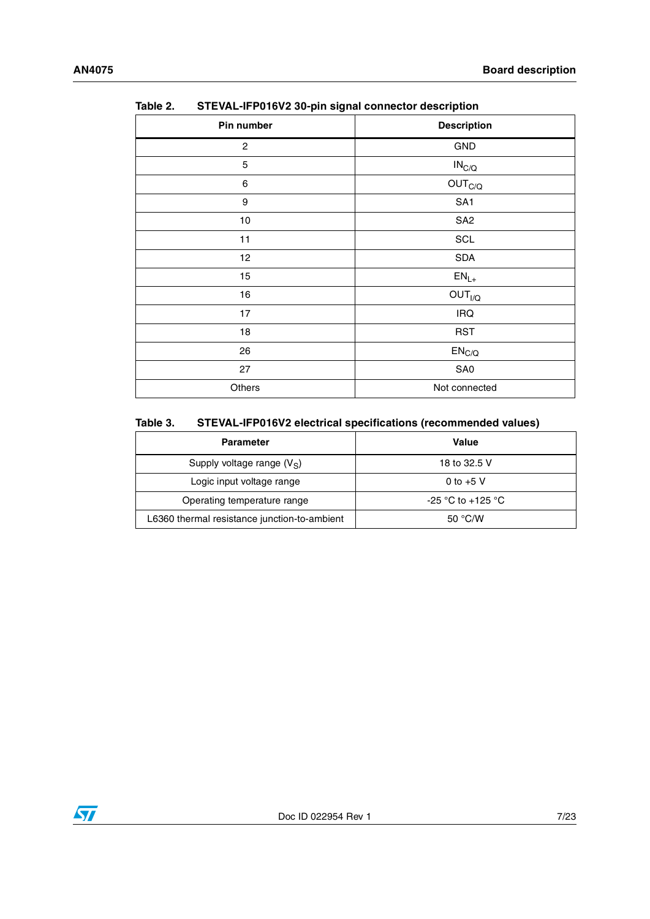| i<br>OTE VAL THE VIOYE OUPHIT SIGNAL CONNECTOR ACSCRIPTION |                             |
|------------------------------------------------------------|-----------------------------|
| Pin number                                                 | <b>Description</b>          |
| 2                                                          | GND                         |
| 5                                                          | $IN_{C/Q}$                  |
| $\,6$                                                      | OUT <sub>C/Q</sub>          |
| 9                                                          | SA <sub>1</sub>             |
| $10$                                                       | SA <sub>2</sub>             |
| 11                                                         | SCL                         |
| 12                                                         | <b>SDA</b>                  |
| 15                                                         | $\mathsf{EN}_{\mathsf{L}+}$ |
| 16                                                         | OUT <sub>I/Q</sub>          |
| 17                                                         | IRQ                         |
| 18                                                         | <b>RST</b>                  |
| 26                                                         | EN <sub>C/Q</sub>           |
| 27                                                         | SA0                         |
| Others                                                     | Not connected               |

<span id="page-6-0"></span>Table 2 **STEVAL-IFP016V2 30-pin signal connector description** 

#### <span id="page-6-1"></span>Table 3. STEVAL-IFP016V2 electrical specifications (recommended values)

| <b>Parameter</b>                             | Value             |  |  |
|----------------------------------------------|-------------------|--|--|
| Supply voltage range $(V_S)$                 | 18 to 32.5 V      |  |  |
| Logic input voltage range                    | 0 to $+5$ V       |  |  |
| Operating temperature range                  | -25 °C to +125 °C |  |  |
| L6360 thermal resistance junction-to-ambient | 50 °C/W           |  |  |

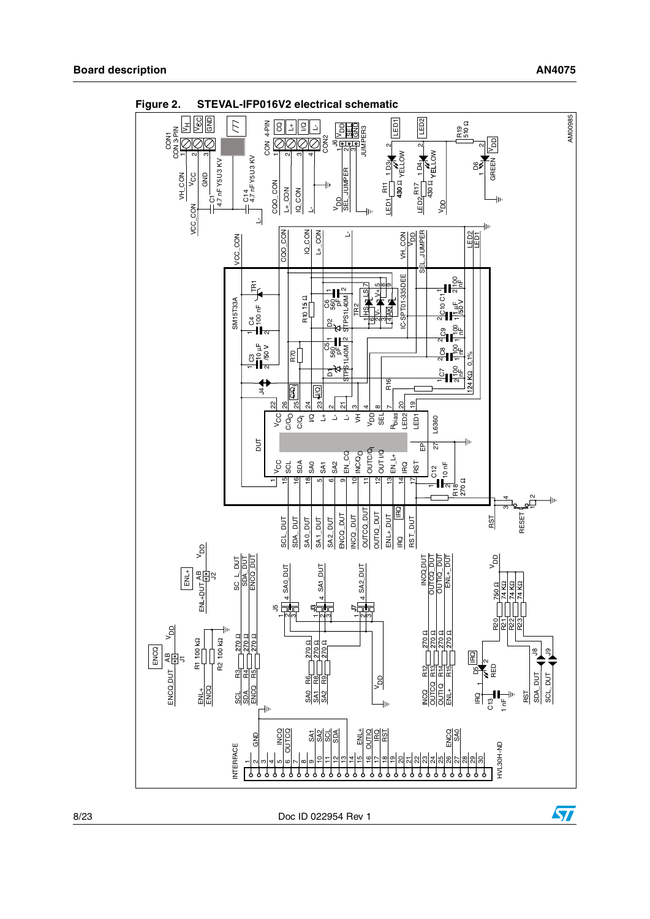$\sqrt{2}$ 



<span id="page-7-0"></span>**Figure 2. STEVAL-IFP016V2 electrical schematic**

8/23 Doc ID 022954 Rev 1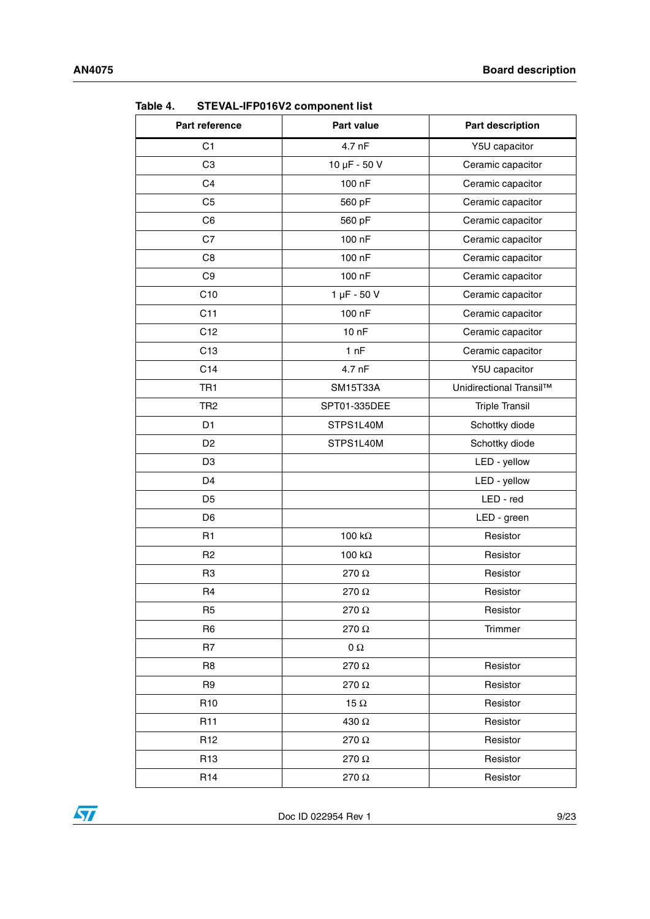| Part reference  | Part value       | <b>Part description</b> |
|-----------------|------------------|-------------------------|
| C <sub>1</sub>  | 4.7 nF           | Y5U capacitor           |
| C <sub>3</sub>  | 10 µF - 50 V     | Ceramic capacitor       |
| C <sub>4</sub>  | 100 nF           | Ceramic capacitor       |
| C <sub>5</sub>  | 560 pF           | Ceramic capacitor       |
| C <sub>6</sub>  | 560 pF           | Ceramic capacitor       |
| C7              | 100 nF           | Ceramic capacitor       |
| C <sub>8</sub>  | 100 nF           | Ceramic capacitor       |
| C <sub>9</sub>  | 100 nF           | Ceramic capacitor       |
| C10             | $1 \mu F - 50 V$ | Ceramic capacitor       |
| C11             | 100 nF           | Ceramic capacitor       |
| C <sub>12</sub> | 10nF             | Ceramic capacitor       |
| C <sub>13</sub> | 1 nF             | Ceramic capacitor       |
| C14             | 4.7 nF           | Y5U capacitor           |
| TR <sub>1</sub> | <b>SM15T33A</b>  | Unidirectional Transil™ |
| TR <sub>2</sub> | SPT01-335DEE     | <b>Triple Transil</b>   |
| D <sub>1</sub>  | STPS1L40M        | Schottky diode          |
| D <sub>2</sub>  | STPS1L40M        | Schottky diode          |
| D <sub>3</sub>  |                  | LED - yellow            |
| D <sub>4</sub>  |                  | LED - yellow            |
| D <sub>5</sub>  |                  | LED - red               |
| D <sub>6</sub>  |                  | LED - green             |
| R <sub>1</sub>  | 100 $k\Omega$    | Resistor                |
| R <sub>2</sub>  | 100 $k\Omega$    | Resistor                |
| R <sub>3</sub>  | 270 Ω            | Resistor                |
| R <sub>4</sub>  | 270 Ω            | Resistor                |
| R <sub>5</sub>  | 270 $\Omega$     | Resistor                |
| R <sub>6</sub>  | 270 Ω            | Trimmer                 |
| R7              | $\Omega$         |                         |
| R8              | 270 Ω            | Resistor                |
| R9              | 270 Ω            | Resistor                |
| R <sub>10</sub> | 15 $\Omega$      | Resistor                |
| R <sub>11</sub> | 430 Ω            | Resistor                |
| R <sub>12</sub> | 270Ω             | Resistor                |
| R <sub>13</sub> | 270 Ω            | Resistor                |
| R <sub>14</sub> | 270 $\Omega$     | Resistor                |

<span id="page-8-0"></span>**Table 4. STEVAL-IFP016V2 component list**

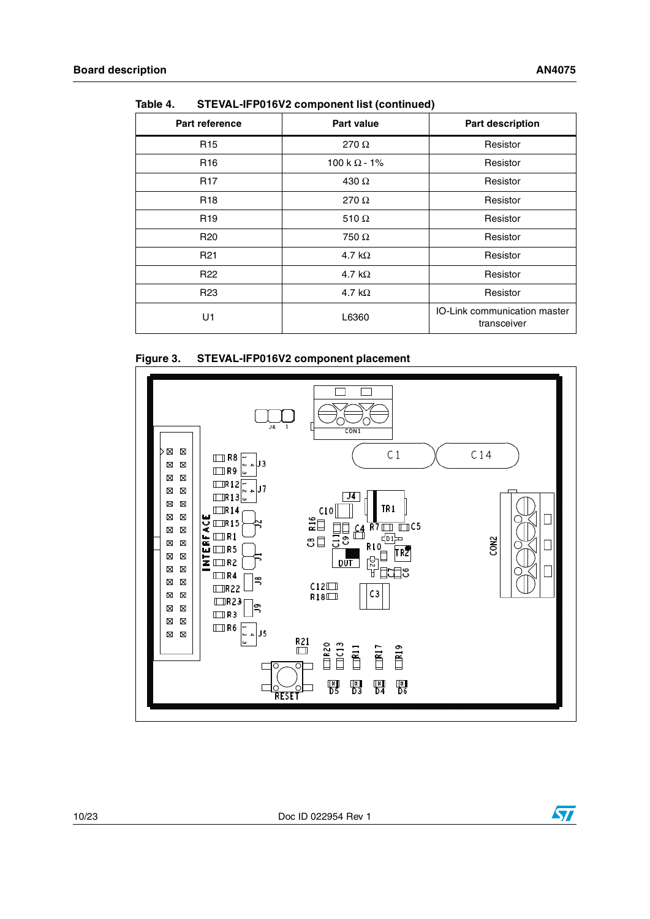| <b>Part reference</b> | <b>Part value</b>   | <b>Part description</b>                     |
|-----------------------|---------------------|---------------------------------------------|
| R <sub>15</sub>       | 270 $\Omega$        | Resistor                                    |
| R <sub>16</sub>       | 100 k $\Omega$ - 1% | Resistor                                    |
| <b>R17</b>            | 430 $\Omega$        | Resistor                                    |
| R <sub>18</sub>       | 270 $\Omega$        | Resistor                                    |
| R <sub>19</sub>       | 510 $\Omega$        | Resistor                                    |
| R <sub>20</sub>       | 750 $\Omega$        | Resistor                                    |
| R <sub>21</sub>       | 4.7 k $\Omega$      | Resistor                                    |
| R <sub>22</sub>       | 4.7 k $\Omega$      | Resistor                                    |
| R <sub>23</sub>       | 4.7 k $\Omega$      | Resistor                                    |
| U1                    | L6360               | IO-Link communication master<br>transceiver |

**Table 4. STEVAL-IFP016V2 component list (continued)**

#### <span id="page-9-0"></span>**Figure 3. STEVAL-IFP016V2 component placement**

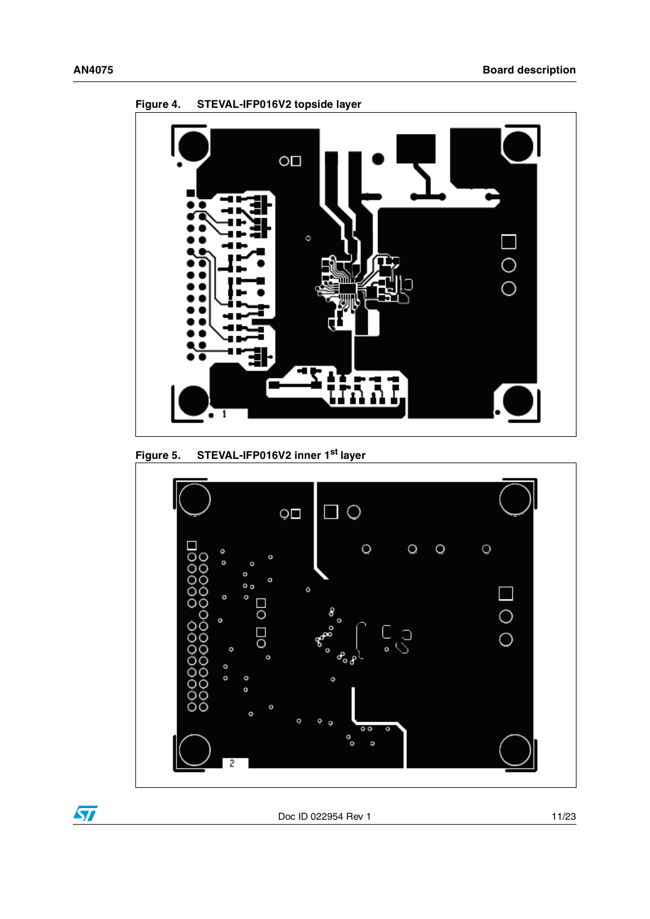

<span id="page-10-0"></span>**Figure 4. STEVAL-IFP016V2 topside layer**

<span id="page-10-1"></span>**Figure 5. STEVAL-IFP016V2 inner 1st layer**



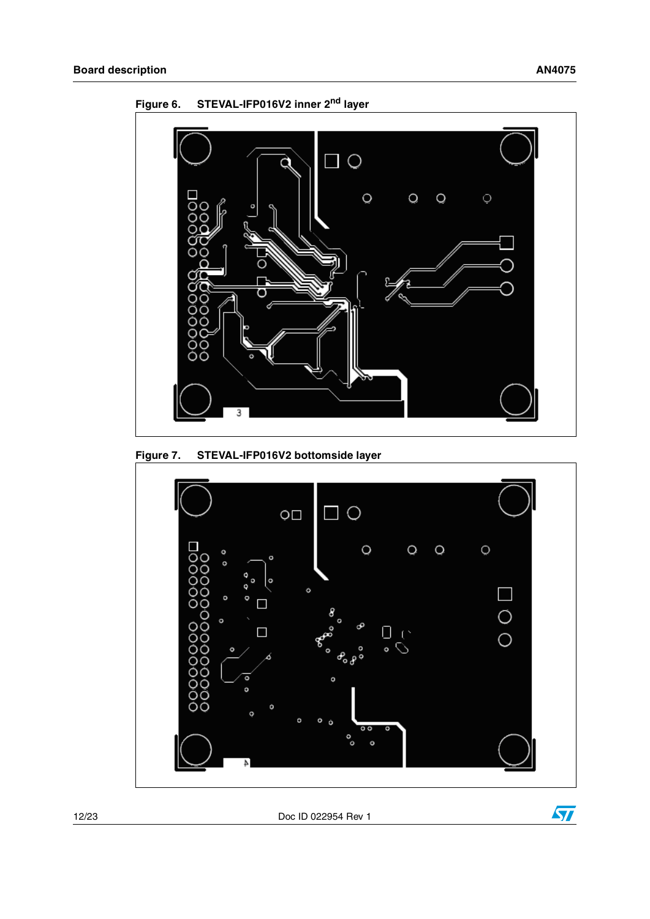

<span id="page-11-0"></span>**Figure 6. STEVAL-IFP016V2 inner 2nd layer**

<span id="page-11-1"></span>



12/23 Doc ID 022954 Rev 1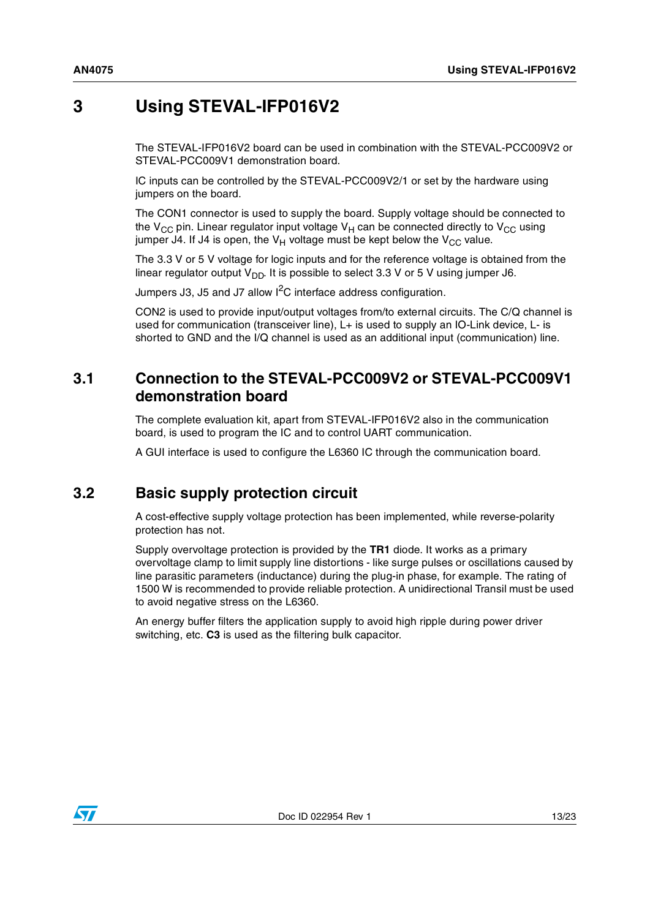## <span id="page-12-0"></span>**3 Using STEVAL-IFP016V2**

The STEVAL-IFP016V2 board can be used in combination with the STEVAL-PCC009V2 or STEVAL-PCC009V1 demonstration board.

IC inputs can be controlled by the STEVAL-PCC009V2/1 or set by the hardware using jumpers on the board.

The CON1 connector is used to supply the board. Supply voltage should be connected to the  $V_{CC}$  pin. Linear regulator input voltage  $V_H$  can be connected directly to  $V_{CC}$  using jumper J4. If J4 is open, the  $V_H$  voltage must be kept below the  $V_{CC}$  value.

The 3.3 V or 5 V voltage for logic inputs and for the reference voltage is obtained from the linear regulator output  $V_{DD}$ . It is possible to select 3.3 V or 5 V using jumper J6.

Jumpers J3, J5 and J7 allow I<sup>2</sup>C interface address configuration.

CON2 is used to provide input/output voltages from/to external circuits. The C/Q channel is used for communication (transceiver line), L+ is used to supply an IO-Link device, L- is shorted to GND and the I/Q channel is used as an additional input (communication) line.

### <span id="page-12-1"></span>**3.1 Connection to the STEVAL-PCC009V2 or STEVAL-PCC009V1 demonstration board**

The complete evaluation kit, apart from STEVAL-IFP016V2 also in the communication board, is used to program the IC and to control UART communication.

A GUI interface is used to configure the L6360 IC through the communication board.

## <span id="page-12-2"></span>**3.2 Basic supply protection circuit**

A cost-effective supply voltage protection has been implemented, while reverse-polarity protection has not.

Supply overvoltage protection is provided by the **TR1** diode. It works as a primary overvoltage clamp to limit supply line distortions - like surge pulses or oscillations caused by line parasitic parameters (inductance) during the plug-in phase, for example. The rating of 1500 W is recommended to provide reliable protection. A unidirectional Transil must be used to avoid negative stress on the L6360.

An energy buffer filters the application supply to avoid high ripple during power driver switching, etc. **C3** is used as the filtering bulk capacitor.

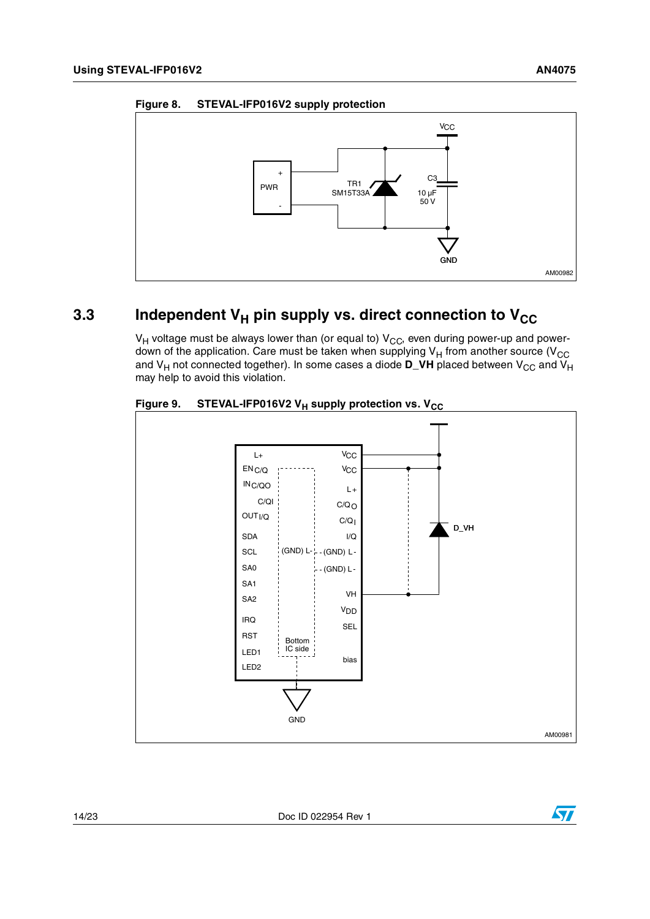<span id="page-13-1"></span>



## <span id="page-13-0"></span>**3.3** Independent V<sub>H</sub> pin supply vs. direct connection to V<sub>CC</sub>

 $V_H$  voltage must be always lower than (or equal to)  $V_{CC}$ , even during power-up and powerdown of the application. Care must be taken when supplying  $V_H$  from another source ( $V_{CC}$ and V<sub>H</sub> not connected together). In some cases a diode  $D_VH$  placed between V<sub>CC</sub> and V<sub>H</sub> may help to avoid this violation.



<span id="page-13-2"></span>

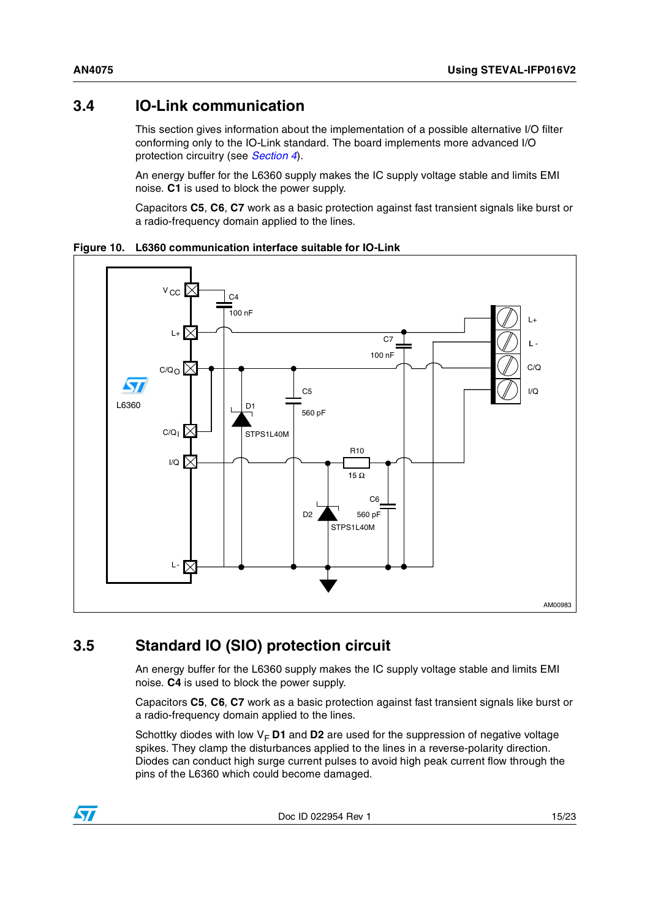### <span id="page-14-0"></span>**3.4 IO-Link communication**

This section gives information about the implementation of a possible alternative I/O filter conforming only to the IO-Link standard. The board implements more advanced I/O protection circuitry (see *[Section 4](#page-16-0)*).

An energy buffer for the L6360 supply makes the IC supply voltage stable and limits EMI noise. **C1** is used to block the power supply.

Capacitors **C5**, **C6**, **C7** work as a basic protection against fast transient signals like burst or a radio-frequency domain applied to the lines.

<span id="page-14-2"></span>



## <span id="page-14-1"></span>**3.5 Standard IO (SIO) protection circuit**

An energy buffer for the L6360 supply makes the IC supply voltage stable and limits EMI noise. **C4** is used to block the power supply.

Capacitors **C5**, **C6**, **C7** work as a basic protection against fast transient signals like burst or a radio-frequency domain applied to the lines.

Schottky diodes with low  $V_F$  **D1** and **D2** are used for the suppression of negative voltage spikes. They clamp the disturbances applied to the lines in a reverse-polarity direction. Diodes can conduct high surge current pulses to avoid high peak current flow through the pins of the L6360 which could become damaged.

Doc ID 022954 Rev 1 15/23

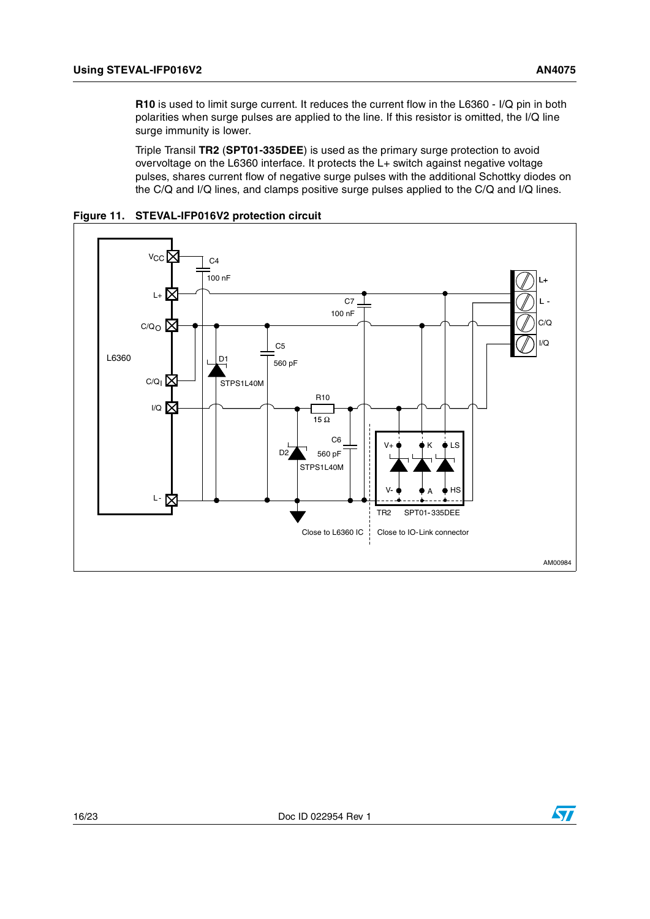**R10** is used to limit surge current. It reduces the current flow in the L6360 - I/Q pin in both polarities when surge pulses are applied to the line. If this resistor is omitted, the I/Q line surge immunity is lower.

Triple Transil **TR2** (**SPT01-335DEE**) is used as the primary surge protection to avoid overvoltage on the L6360 interface. It protects the L+ switch against negative voltage pulses, shares current flow of negative surge pulses with the additional Schottky diodes on the C/Q and I/Q lines, and clamps positive surge pulses applied to the C/Q and I/Q lines.



#### <span id="page-15-0"></span>**Figure 11. STEVAL-IFP016V2 protection circuit**

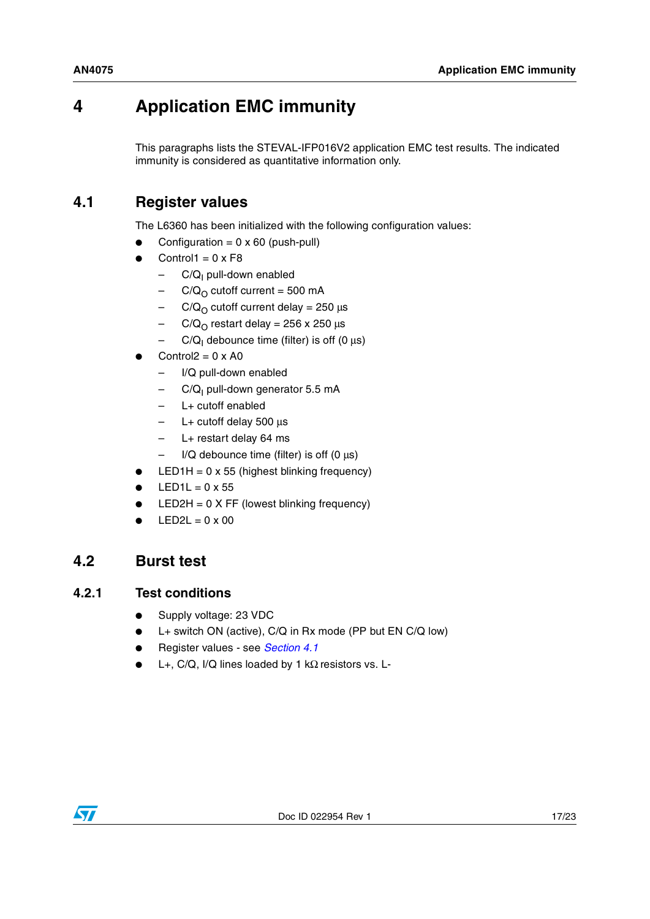# <span id="page-16-0"></span>**4 Application EMC immunity**

This paragraphs lists the STEVAL-IFP016V2 application EMC test results. The indicated immunity is considered as quantitative information only.

## <span id="page-16-1"></span>**4.1 Register values**

The L6360 has been initialized with the following configuration values:

- Configuration =  $0 \times 60$  (push-pull)
- $Control1 = 0 \times F8$ 
	- C/Q<sub>I</sub> pull-down enabled
	- $-$  C/Q<sub>O</sub> cutoff current = 500 mA
	- $-$  C/Q<sub>O</sub> cutoff current delay = 250 μs
	- $-$  C/Q<sub>O</sub> restart delay = 256 x 250 μs
	- C/Q<sub>I</sub> debounce time (filter) is off (0 μs)
- Control $2 = 0 \times A0$ 
	- I/Q pull-down enabled
	- C/Q<sub>I</sub> pull-down generator 5.5 mA
	- L+ cutoff enabled
	- L+ cutoff delay 500 μs
	- L+ restart delay 64 ms
	- $-$  I/Q debounce time (filter) is off (0  $\mu$ s)
- $LED1H = 0 \times 55$  (highest blinking frequency)
- $LED1L = 0 \times 55$
- $LED2H = 0 X FF$  (lowest blinking frequency)
- $LED2L = 0 \times 00$

### <span id="page-16-2"></span>**4.2 Burst test**

#### <span id="page-16-3"></span>**4.2.1 Test conditions**

- Supply voltage: 23 VDC
- $L+$  switch ON (active), C/Q in Rx mode (PP but EN C/Q low)
- Register values see *[Section 4.1](#page-16-1)*
- L+, C/Q, I/Q lines loaded by 1 k $\Omega$  resistors vs. L-

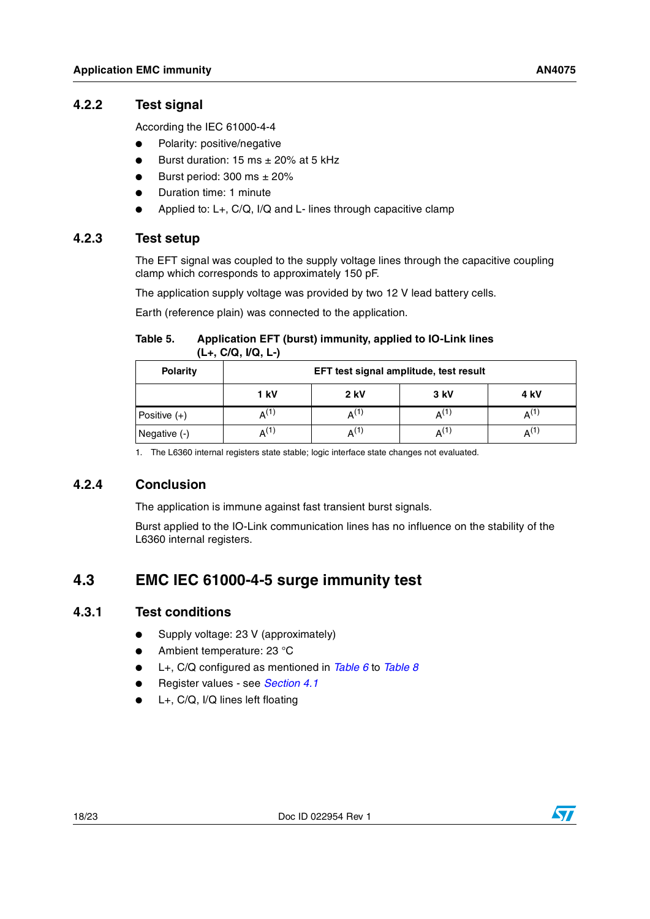### <span id="page-17-0"></span>**4.2.2 Test signal**

According the IEC 61000-4-4

- Polarity: positive/negative
- Burst duration: 15 ms  $\pm$  20% at 5 kHz
- Burst period:  $300 \text{ ms } \pm 20\%$
- Duration time: 1 minute
- Applied to: L+, C/Q, I/Q and L- lines through capacitive clamp

### <span id="page-17-1"></span>**4.2.3 Test setup**

The EFT signal was coupled to the supply voltage lines through the capacitive coupling clamp which corresponds to approximately 150 pF.

The application supply voltage was provided by two 12 V lead battery cells.

Earth (reference plain) was connected to the application.

#### <span id="page-17-5"></span>Table 5. **Table 5. Application EFT (burst) immunity, applied to IO-Link lines (L+, C/Q, I/Q, L-)**

| <b>Polarity</b> | EFT test signal amplitude, test result |             |                    |      |  |
|-----------------|----------------------------------------|-------------|--------------------|------|--|
|                 | 1 kV                                   | <b>2 kV</b> | 3 kV               | 4 kV |  |
| Positive $(+)$  | $A^{(1)}$                              | Δ(I)        | $\mathsf{A}^{(1)}$ | AU.  |  |
| Negative (-)    | $\mathsf{A}^{(1)}$                     | Δ(1)        | $A^{(1)}$          | AU.  |  |

<span id="page-17-6"></span>1. The L6360 internal registers state stable; logic interface state changes not evaluated.

### <span id="page-17-2"></span>**4.2.4 Conclusion**

The application is immune against fast transient burst signals.

Burst applied to the IO-Link communication lines has no influence on the stability of the L6360 internal registers.

## <span id="page-17-3"></span>**4.3 EMC IEC 61000-4-5 surge immunity test**

### <span id="page-17-4"></span>**4.3.1 Test conditions**

- Supply voltage: 23 V (approximately)
- Ambient temperature: 23 °C
- L+, C/Q configured as mentioned in *[Table 6](#page-19-2)* to *[Table 8](#page-20-1)*
- Register values see *[Section 4.1](#page-16-1)*
- $L+$ ,  $C/Q$ , I/Q lines left floating

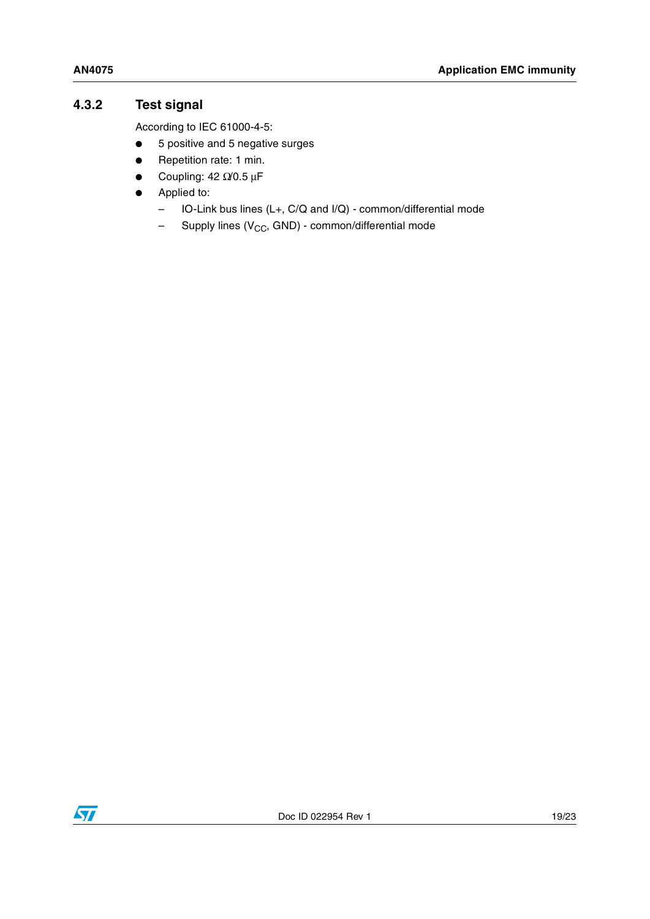### <span id="page-18-0"></span>**4.3.2 Test signal**

According to IEC 61000-4-5:

- 5 positive and 5 negative surges
- Repetition rate: 1 min.
- $\bullet$  Coupling: 42 Ω/0.5 μF
- Applied to:
	- IO-Link bus lines (L+, C/Q and I/Q) common/differential mode
	- $-$  Supply lines (V<sub>CC</sub>, GND) common/differential mode

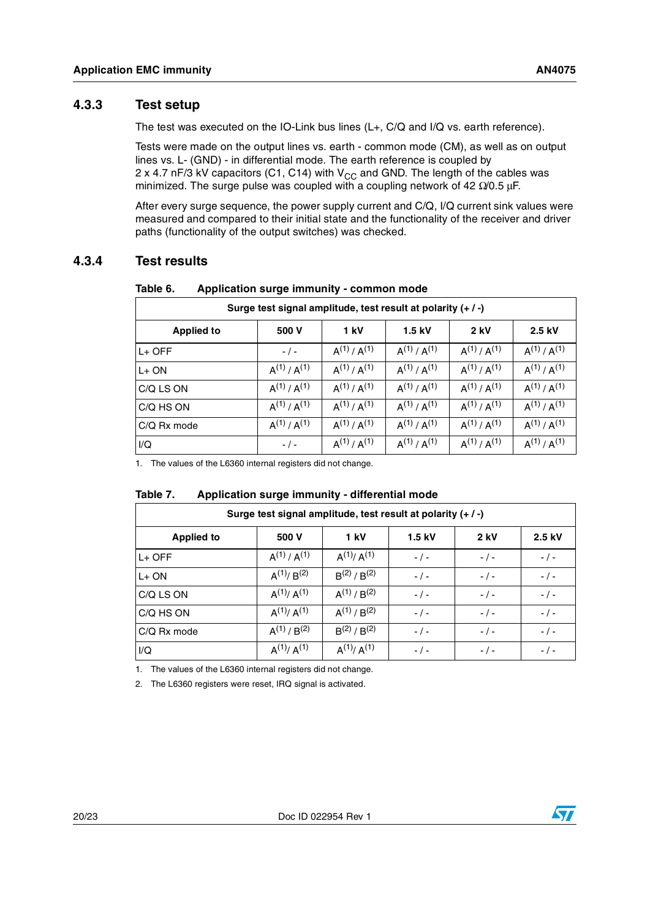### <span id="page-19-0"></span>**4.3.3 Test setup**

The test was executed on the IO-Link bus lines (L+, C/Q and I/Q vs. earth reference).

Tests were made on the output lines vs. earth - common mode (CM), as well as on output lines vs. L- (GND) - in differential mode. The earth reference is coupled by 2 x 4.7 nF/3 kV capacitors (C1, C14) with  $V_{CC}$  and GND. The length of the cables was minimized. The surge pulse was coupled with a coupling network of 42  $\Omega$ /0.5 μF.

After every surge sequence, the power supply current and C/Q, I/Q current sink values were measured and compared to their initial state and the functionality of the receiver and driver paths (functionality of the output switches) was checked.

### <span id="page-19-1"></span>**4.3.4 Test results**

| Surge test signal amplitude, test result at polarity (+/-)         |                   |                   |                   |                   |                   |  |  |  |
|--------------------------------------------------------------------|-------------------|-------------------|-------------------|-------------------|-------------------|--|--|--|
| $2$ kV<br>1 kV<br>$1.5$ kV<br>2.5 kV<br>500 V<br><b>Applied to</b> |                   |                   |                   |                   |                   |  |  |  |
| $L+$ OFF                                                           | $-$ / $-$         | $A^{(1)}/A^{(1)}$ | $A^{(1)}/A^{(1)}$ | $A^{(1)}/A^{(1)}$ | $A^{(1)}/A^{(1)}$ |  |  |  |
| $L+ON$                                                             | $A^{(1)}/A^{(1)}$ | $A^{(1)}/A^{(1)}$ | $A^{(1)}/A^{(1)}$ | $A^{(1)}/A^{(1)}$ | $A^{(1)}/A^{(1)}$ |  |  |  |
| C/Q LS ON                                                          | $A^{(1)}/A^{(1)}$ | $A^{(1)}/A^{(1)}$ | $A^{(1)}/A^{(1)}$ | $A^{(1)}/A^{(1)}$ | $A^{(1)}/A^{(1)}$ |  |  |  |
| C/Q HS ON                                                          | $A^{(1)}/A^{(1)}$ | $A^{(1)}/A^{(1)}$ | $A^{(1)}/A^{(1)}$ | $A^{(1)}/A^{(1)}$ | $A^{(1)}/A^{(1)}$ |  |  |  |
| $C/Q$ Rx mode                                                      | $A^{(1)}/A^{(1)}$ | $A^{(1)}/A^{(1)}$ | $A^{(1)}/A^{(1)}$ | $A^{(1)}/A^{(1)}$ | $A^{(1)}/A^{(1)}$ |  |  |  |
| I/Q                                                                | $-/-$             | $A^{(1)}/A^{(1)}$ | $A^{(1)}/A^{(1)}$ | $A^{(1)}/A^{(1)}$ | $A^{(1)}/A^{(1)}$ |  |  |  |

#### <span id="page-19-2"></span>Table 6. Application surge immunity - common mode

1. The values of the L6360 internal registers did not change.

#### <span id="page-19-3"></span>Table 7. **Table 7. Application surge immunity - differential mode**

| Surge test signal amplitude, test result at polarity (+/-) |                   |                   |           |           |           |  |
|------------------------------------------------------------|-------------------|-------------------|-----------|-----------|-----------|--|
| <b>Applied to</b>                                          | 500 V             | 1 kV              | 1.5 kV    | 2 kV      | 2.5 kV    |  |
| $L+$ OFF                                                   | $A^{(1)}/A^{(1)}$ | $A^{(1)}/A^{(1)}$ | $-$ / $-$ | $-$ / $-$ | $-$ / $-$ |  |
| $L+ON$                                                     | $A^{(1)}/B^{(2)}$ | $B^{(2)}/B^{(2)}$ | $-$ / $-$ | $-$ / $-$ | $-$ / $-$ |  |
| C/Q LS ON                                                  | $A^{(1)}/A^{(1)}$ | $A^{(1)}/B^{(2)}$ | $-$ / $-$ | $-$ / $-$ | $-$ / $-$ |  |
| C/Q HS ON                                                  | $A^{(1)}/A^{(1)}$ | $A^{(1)}/B^{(2)}$ | $-$ / $-$ | $-$ / $-$ | $- / -$   |  |
| $C/Q$ Rx mode                                              | $A^{(1)}/B^{(2)}$ | $B^{(2)}/B^{(2)}$ | $-$ / $-$ | $-$ / $-$ | $-$ / $-$ |  |
| I/Q                                                        | $A^{(1)}/A^{(1)}$ | $A^{(1)}/A^{(1)}$ | $-$ / $-$ | $-$ / $-$ | $-$ / $-$ |  |

<span id="page-19-4"></span>1. The values of the L6360 internal registers did not change.

<span id="page-19-5"></span>2. The L6360 registers were reset, IRQ signal is activated.

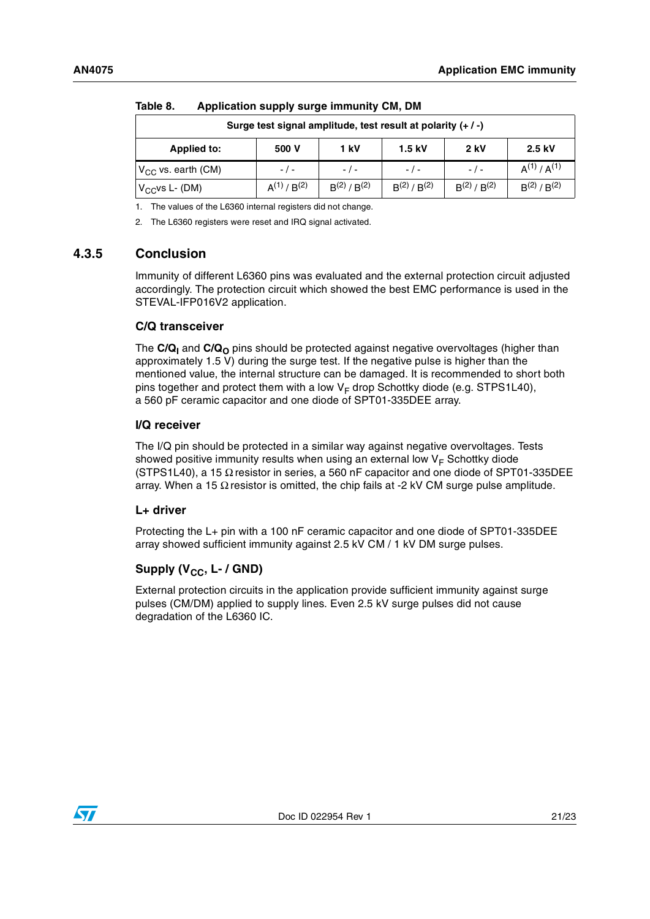| IUNIV VI<br>Approactor supply surge miniums only bin         |                   |                   |                   |                   |                   |  |
|--------------------------------------------------------------|-------------------|-------------------|-------------------|-------------------|-------------------|--|
| Surge test signal amplitude, test result at polarity (+ / -) |                   |                   |                   |                   |                   |  |
| <b>Applied to:</b>                                           | 500 V             | 1 kV              | $1.5$ kV          | <b>2 kV</b>       | 2.5 kV            |  |
| $V_{CC}$ vs. earth (CM)                                      | $-$ / $-$         | $-$ / $-$         | $-1$ –            | $-$ / $-$         | $A^{(1)}/A^{(1)}$ |  |
| $IV_{CC}$ vs L- (DM)                                         | $A^{(1)}/B^{(2)}$ | $B^{(2)}/B^{(2)}$ | $B^{(2)}/B^{(2)}$ | $B^{(2)}/B^{(2)}$ | $B^{(2)}/B^{(2)}$ |  |

#### <span id="page-20-1"></span>Table 8 **Table 8. Application supply surge immunity CM, DM**

<span id="page-20-2"></span>1. The values of the L6360 internal registers did not change.

<span id="page-20-3"></span>2. The L6360 registers were reset and IRQ signal activated.

#### <span id="page-20-0"></span>**4.3.5 Conclusion**

Immunity of different L6360 pins was evaluated and the external protection circuit adjusted accordingly. The protection circuit which showed the best EMC performance is used in the STEVAL-IFP016V2 application.

#### **C/Q transceiver**

The  $C/Q<sub>1</sub>$  and  $C/Q<sub>0</sub>$  pins should be protected against negative overvoltages (higher than approximately 1.5 V) during the surge test. If the negative pulse is higher than the mentioned value, the internal structure can be damaged. It is recommended to short both pins together and protect them with a low  $V_F$  drop Schottky diode (e.g. STPS1L40), a 560 pF ceramic capacitor and one diode of SPT01-335DEE array.

#### **I/Q receiver**

The I/Q pin should be protected in a similar way against negative overvoltages. Tests showed positive immunity results when using an external low  $V_F$  Schottky diode (STPS1L40), a 15  $\Omega$  resistor in series, a 560 nF capacitor and one diode of SPT01-335DEE array. When a 15  $\Omega$  resistor is omitted, the chip fails at -2 kV CM surge pulse amplitude.

#### **L+ driver**

Protecting the L+ pin with a 100 nF ceramic capacitor and one diode of SPT01-335DEE array showed sufficient immunity against 2.5 kV CM / 1 kV DM surge pulses.

#### Supply (V<sub>CC</sub>, L- / GND)

External protection circuits in the application provide sufficient immunity against surge pulses (CM/DM) applied to supply lines. Even 2.5 kV surge pulses did not cause degradation of the L6360 IC.

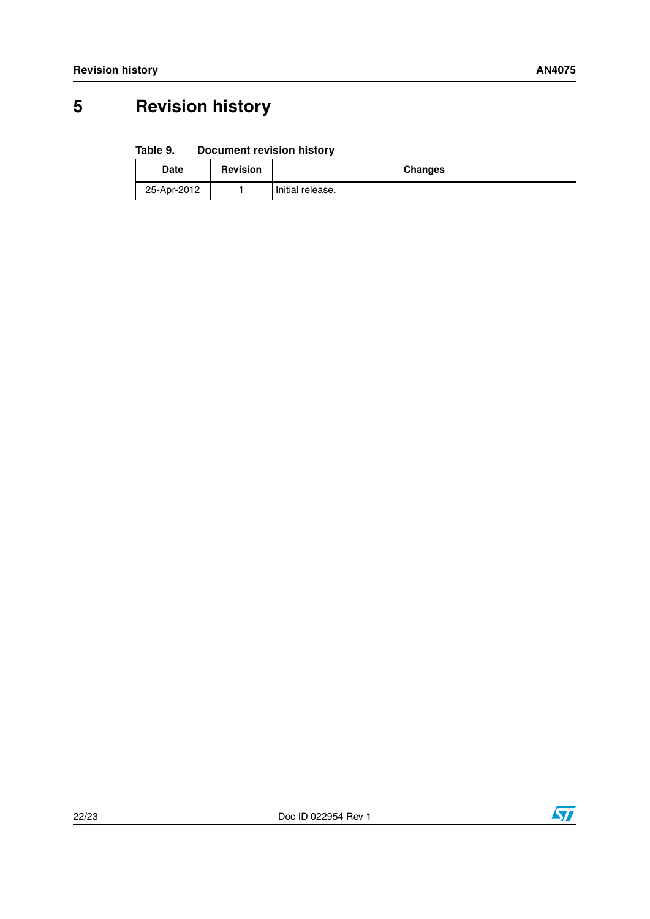# <span id="page-21-0"></span>**5 Revision history**

#### <span id="page-21-1"></span>Table 9. **Document revision history**

| Date        | <b>Revision</b> | <b>Changes</b>   |
|-------------|-----------------|------------------|
| 25-Apr-2012 |                 | Initial release. |